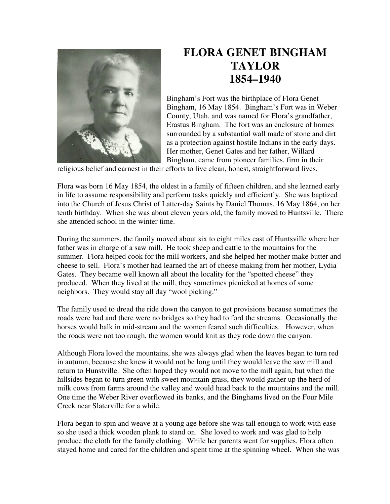

## **FLORA GENET BINGHAM TAYLOR 1854–1940**

Bingham's Fort was the birthplace of Flora Genet Bingham, 16 May 1854. Bingham's Fort was in Weber County, Utah, and was named for Flora's grandfather, Erastus Bingham. The fort was an enclosure of homes surrounded by a substantial wall made of stone and dirt as a protection against hostile Indians in the early days. Her mother, Genet Gates and her father, Willard Bingham, came from pioneer families, firm in their

religious belief and earnest in their efforts to live clean, honest, straightforward lives.

Flora was born 16 May 1854, the oldest in a family of fifteen children, and she learned early in life to assume responsibility and perform tasks quickly and efficiently. She was baptized into the Church of Jesus Christ of Latter-day Saints by Daniel Thomas, 16 May 1864, on her tenth birthday. When she was about eleven years old, the family moved to Huntsville. There she attended school in the winter time.

During the summers, the family moved about six to eight miles east of Huntsville where her father was in charge of a saw mill. He took sheep and cattle to the mountains for the summer. Flora helped cook for the mill workers, and she helped her mother make butter and cheese to sell. Flora's mother had learned the art of cheese making from her mother, Lydia Gates. They became well known all about the locality for the "spotted cheese" they produced. When they lived at the mill, they sometimes picnicked at homes of some neighbors. They would stay all day "wool picking."

The family used to dread the ride down the canyon to get provisions because sometimes the roads were bad and there were no bridges so they had to ford the streams. Occasionally the horses would balk in mid-stream and the women feared such difficulties. However, when the roads were not too rough, the women would knit as they rode down the canyon.

Although Flora loved the mountains, she was always glad when the leaves began to turn red in autumn, because she knew it would not be long until they would leave the saw mill and return to Hunstville. She often hoped they would not move to the mill again, but when the hillsides began to turn green with sweet mountain grass, they would gather up the herd of milk cows from farms around the valley and would head back to the mountains and the mill. One time the Weber River overflowed its banks, and the Binghams lived on the Four Mile Creek near Slaterville for a while.

Flora began to spin and weave at a young age before she was tall enough to work with ease so she used a thick wooden plank to stand on. She loved to work and was glad to help produce the cloth for the family clothing. While her parents went for supplies, Flora often stayed home and cared for the children and spent time at the spinning wheel. When she was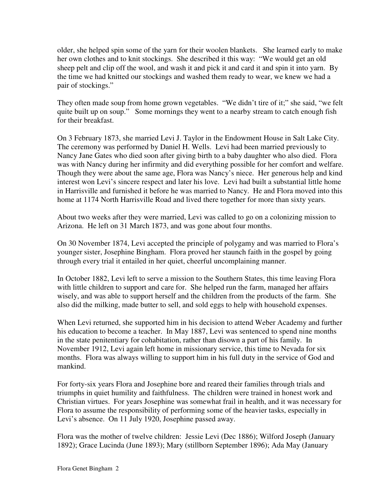older, she helped spin some of the yarn for their woolen blankets. She learned early to make her own clothes and to knit stockings. She described it this way: "We would get an old sheep pelt and clip off the wool, and wash it and pick it and card it and spin it into yarn. By the time we had knitted our stockings and washed them ready to wear, we knew we had a pair of stockings."

They often made soup from home grown vegetables. "We didn't tire of it;" she said, "we felt quite built up on soup." Some mornings they went to a nearby stream to catch enough fish for their breakfast.

On 3 February 1873, she married Levi J. Taylor in the Endowment House in Salt Lake City. The ceremony was performed by Daniel H. Wells. Levi had been married previously to Nancy Jane Gates who died soon after giving birth to a baby daughter who also died. Flora was with Nancy during her infirmity and did everything possible for her comfort and welfare. Though they were about the same age, Flora was Nancy's niece. Her generous help and kind interest won Levi's sincere respect and later his love. Levi had built a substantial little home in Harrisville and furnished it before he was married to Nancy. He and Flora moved into this home at 1174 North Harrisville Road and lived there together for more than sixty years.

About two weeks after they were married, Levi was called to go on a colonizing mission to Arizona. He left on 31 March 1873, and was gone about four months.

On 30 November 1874, Levi accepted the principle of polygamy and was married to Flora's younger sister, Josephine Bingham. Flora proved her staunch faith in the gospel by going through every trial it entailed in her quiet, cheerful uncomplaining manner.

In October 1882, Levi left to serve a mission to the Southern States, this time leaving Flora with little children to support and care for. She helped run the farm, managed her affairs wisely, and was able to support herself and the children from the products of the farm. She also did the milking, made butter to sell, and sold eggs to help with household expenses.

When Levi returned, she supported him in his decision to attend Weber Academy and further his education to become a teacher. In May 1887, Levi was sentenced to spend nine months in the state penitentiary for cohabitation, rather than disown a part of his family. In November 1912, Levi again left home in missionary service, this time to Nevada for six months. Flora was always willing to support him in his full duty in the service of God and mankind.

For forty-six years Flora and Josephine bore and reared their families through trials and triumphs in quiet humility and faithfulness. The children were trained in honest work and Christian virtues. For years Josephine was somewhat frail in health, and it was necessary for Flora to assume the responsibility of performing some of the heavier tasks, especially in Levi's absence. On 11 July 1920, Josephine passed away.

Flora was the mother of twelve children: Jessie Levi (Dec 1886); Wilford Joseph (January 1892); Grace Lucinda (June 1893); Mary (stillborn September 1896); Ada May (January